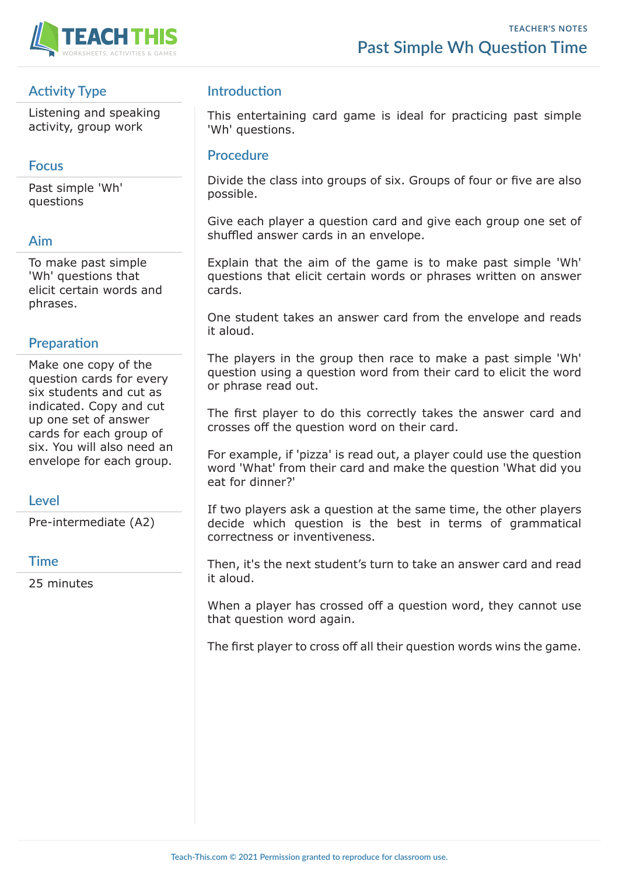

## **Activity Type**

Listening and speaking activity, group work

### **Focus**

Past simple 'Wh' questions

#### **Aim**

To make past simple 'Wh' questions that elicit certain words and phrases.

## **Preparation**

Make one copy of the question cards for every six students and cut as indicated. Copy and cut up one set of answer cards for each group of six. You will also need an envelope for each group.

## **Level**

Pre-intermediate (A2)

#### **Time**

25 minutes

## **Introduction**

This entertaining card game is ideal for practicing past simple 'Wh' questions.

#### **Procedure**

Divide the class into groups of six. Groups of four or five are also possible.

Give each player a question card and give each group one set of shuffled answer cards in an envelope.

Explain that the aim of the game is to make past simple 'Wh' questions that elicit certain words or phrases written on answer cards.

One student takes an answer card from the envelope and reads it aloud.

The players in the group then race to make a past simple 'Wh' question using a question word from their card to elicit the word or phrase read out.

The first player to do this correctly takes the answer card and crosses off the question word on their card.

For example, if 'pizza' is read out, a player could use the question word 'What' from their card and make the question 'What did you eat for dinner?'

If two players ask a question at the same time, the other players decide which question is the best in terms of grammatical correctness or inventiveness.

Then, it's the next student's turn to take an answer card and read it aloud.

When a player has crossed off a question word, they cannot use that question word again.

The first player to cross off all their question words wins the game.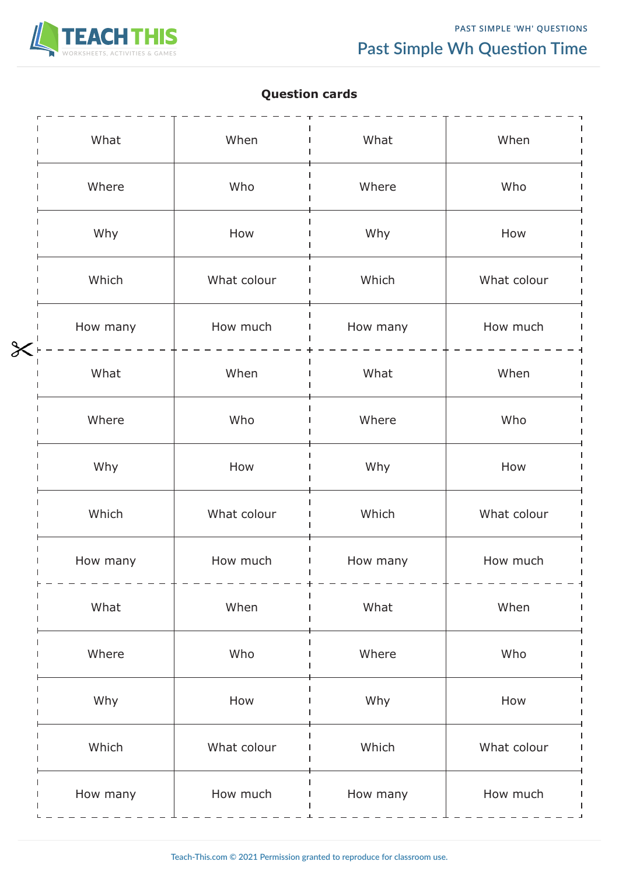

# **Question cards**

|        | What     | When        | What     | When        |
|--------|----------|-------------|----------|-------------|
|        | Where    | Who         | Where    | Who         |
|        | Why      | How         | Why      | How         |
|        | Which    | What colour | Which    | What colour |
|        | How many | How much    | How many | How much    |
| $\chi$ | What     | When        | What     | When        |
|        | Where    | Who         | Where    | Who         |
|        | Why      | How         | Why      | How         |
|        | Which    | What colour | Which    | What colour |
|        | How many | How much    | How many | How much    |
|        | What     | When        | What     | When        |
|        | Where    | Who         | Where    | Who         |
|        | Why      | How         | Why      | How         |
|        | Which    | What colour | Which    | What colour |
|        | How many | How much    | How many | How much    |